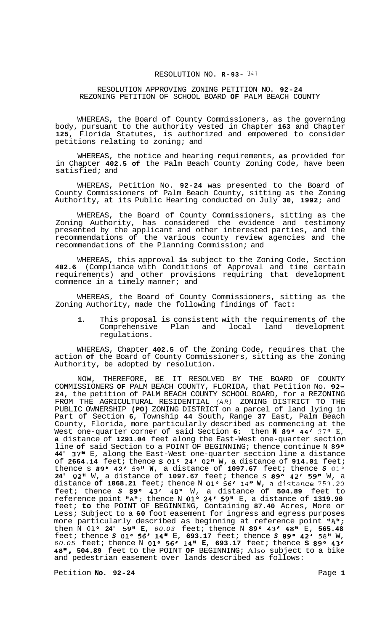# RESOLUTION NO. **R-93-** *<sup>341</sup>*

#### RESOLUTION APPROVING ZONING PETITION NO. **92-24**  REZONING PETITION OF SCHOOL BOARD **OF** PALM BEACH COUNTY

WHEREAS, the Board of County Commissioners, as the governing body, pursuant to the authority vested in Chapter **163** and Chapter **125,** Florida Statutes, is authorized and empowered to consider petitions relating to zoning; and

WHEREAS, the notice and hearing requirements, **as** provided for in Chapter **402.5 of** the Palm Beach County Zoning Code, have been satisfied; and

WHEREAS, Petition No. **92-24** was presented to the Board of County Commissioners of Palm Beach County, sitting as the Zoning Authority, at its Public Hearing conducted on July **30, 1992;** and

WHEREAS, the Board of County Commissioners, sitting as the Zoning Authority, has considered the evidence and testimony presented by the applicant and other interested parties, and the recommendations of the various county review agencies and the recommendations of the Planning Commission; and

WHEREAS, this approval **is** subject to the Zoning Code, Section **402.6** (Compliance with Conditions of Approval and time certain requirements) and other provisions requiring that development commence in a timely manner; and

WHEREAS, the Board of County Commissioners, sitting as the Zoning Authority, made the following findings of fact:

**1.** This proposal is consistent with the requirements of the Comprehensive Plan and local land development regulations.

WHEREAS, Chapter **402.5** of the Zoning Code, requires that the action **of** the Board of County Commissioners, sitting as the Zoning Authority, be adopted by resolution.

NOW, THEREFORE, BE IT RESOLVED BY THE BOARD OF COUNTY COMMISSIONERS **OF** PALM BEACH COUNTY, FLORIDA, that Petition No. **92- 24,** the petition of PALM BEACH COUNTY SCHOOL BOARD, for a REZONING FROM THE AGRICULTURAL RESIDENTIAL *(AR)* ZONING DISTRICT TO THE PUBLIC OWNERSHIP **(PO)** ZONING DISTRICT on a parcel of land lying in Part of Section **6,** Township **44** South, Range **37** East, Palm Beach County, Florida, more particularly described as commencing at the West one-quarter corner of said Section 6: then N 89° 44' 37" E, **a** distance of **1291.04** feet along the East-West one-quarter section line of said Section to a POINT OF BEGINNING; thence continue N 89° **44' 37"** E, along the East-West one-quarter section line a distance of **2664.14** feet; thence *S* **0lo 24' 02"** W, a distance of **914.01** feet; thence S 89° 42' 59" W, a distance of 1097.67 feet; thence S 01° **24' 02"** W, a distance of **1097.67** feet; thence *S* **89O 42' 59"** W, a distance **of 1068.21** feet; thence N **0lo 56/ 14" W,** *B* diqtance 757.20 feet; thence *S* **89O 43' 48"** W, a distance of **504.89** feet to reference point ltAll; thence N **0lo 24' 59"** E, a distance of **1319.90**  feet; **to** the POINT OF BEGINNING, Containing **87.40** Acres, More or Less; Subject to a **60** foot easement for ingress and egress purposes more particularly described as beginning at reference point **"A";** then N **0lo 24' 59" E,** *60.03* feet; thence N **89O 43' 48"** E, **565.48**  feet; thence *S* **0lo 56' 14"** E, **693.17** feet; thence *S* **89O 42'** *58"* W, *60.05* feet; thence N **0lo 56' 14" E, 693.17** feet; thence **S 89O 43' 48", 504.89** feet to the POINT **OF** BEGINNING; Also subject to a bike and pedestrian easement over lands described as follows:

Petition **No.** 92-24 **Page 1 Page 1**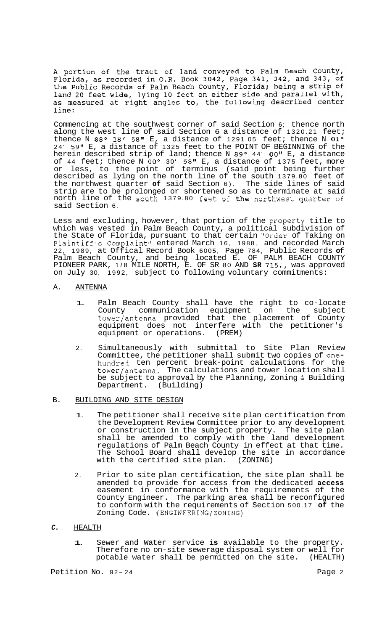A portion of the tract of land conveyed to Palm Beach County,<br>Florida, as recorded in O.R. Book 3042, Page 341, 342, and 343, of<br>the Public Records of Palm Beach County, Florida; being a strip of land 20 feet wide, lying 10 feet on either side and parallel with, as measured at right angles to, the following described center line:

Commencing at the southwest corner of said Section 6; thence north along the west line of said Section 6 a distance of 1320.21 feet; thence N 88° 18' 58" E, a distance of 1291.05 feet; thence N 01° 24' 59" E, a distance of 1325 feet to the POINT OF BEGINNING of the herein described strip of land; thence N 89° 44' 00" E, a distance of 44 feet; thence N **OOo** 30' 58" E, a distance of 1375 feet, more or less, to the point of terminus (said point being further described as lying on the north line of the south 1379.80 feet of the northwest quarter **of** said Section 6). The side lines of said strip are to be prolonged or shortened so as to terminate at said north line of the south 1379.80 feet of the northwest quarter of said Section 6.

Less and excluding, however, that portion of the property title to which was vested in Palm Beach County, a political subdivision of the State of Florida, pursuant to that certain "Order of Taking on Plaintiff's Complaint" entered March 16, 1988, and recorded March 22, 1989, at Offical Record Book 6005, Page 784, Public Records **of**  Palm Beach County, and being located E. OF PALM BEACH COUNTY PIONEER PARK, 1/8 MILE NORTH, E. OF SR 80 AND **SR** 715., was approved on July 30, 1992, subject to following voluntary commitments:

### A. ANTENNA

- 1. Palm Beach County shall have the right to co-locate County communication equipment on the subject tower/antenna provided that the placement of County equipment does not interfere with the petitioner's equipment or operations. (PREM)
- 2. Simultaneously with submittal to Site Plan Review Committee, the petitioner shall submit two copies of onehundre-3 ten percent break-point calculations for the tower/antenna. The calculations and tower location shall be subject to approval by the Planning, Zoning & Building<br>Department. (Building) (Building)
- B. BUILDING AND SITE DESIGN
	- 1. The petitioner shall receive site plan certification from the Development Review Committee prior to any development or construction in the subject property. The site plan shall be amended to comply with the land development regulations of Palm Beach County in effect at that time. The School Board shall develop the site in accordance with the certified site plan. (ZONING)
	- 2. Prior to site plan certification, the site plan shall be amended to provide for access from the dedicated **access**  easement in conformance with the requirements of the County Engineer. The parking area shall be reconfigured to conform with the requirements of Section 500.17 **of** the Zoning Code. (ENGINEERING/ZONING)

## *C.* HEALTH

1. Sewer and Water service **is** available to the property. Therefore no on-site sewerage disposal system or well for potable water shall be permitted on the site. (HEALTH)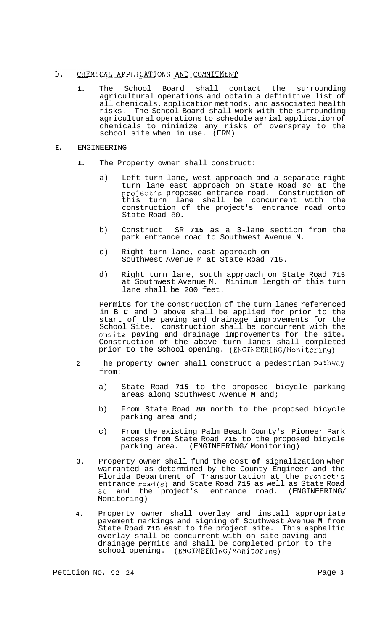#### D. CHEMICAL APPLICATIONS AND COMMITMENT

**1.** The School Board shall contact the surrounding agricultural operations and obtain a definitive list of all chemicals, application methods, and associated health risks. The School Board shall work with the surrounding agricultural operations to schedule aerial application of chemicals to minimize any risks of overspray to the school site when in use. (ERM)

# **E.** ENGINEERING

- **1.** The Property owner shall construct:
	- a) Left turn lane, west approach and a separate right turn lane east approach on State Road *80* at the project's proposed entrance road. Construction of this turn lane shall be concurrent with the construction of the project's entrance road onto State Road 80.
	- b) Construct SR **715** as a 3-lane section from the park entrance road to Southwest Avenue M.
	- c) Right turn lane, east approach on Southwest Avenue M at State Road 715.
	- d) Right turn lane, south approach on State Road **715**  at Southwest Avenue M. Minimum length of this turn lane shall be 200 feet.

Permits for the construction of the turn lanes referenced in B **C** and D above shall be applied for prior to the start of the paving and drainage improvements for the School Site, construction shall be concurrent with the onsite paving and drainage improvements for the site. Construction of the above turn lanes shall completed prior to the School opening. **(ENGINEERING/Monitoring)** 

- 2. The property owner shall construct a pedestrian Pathway from:
	- a) State Road **715** to the proposed bicycle parking areas along Southwest Avenue M and;
	- b) From State Road 80 north to the proposed bicycle parking area and;
	- c) From the existing Palm Beach County's Pioneer Park access from State Road **715** to the proposed bicycle parking area. (ENGINEERING/ Monitoring)
- 3. Property owner shall fund the cost **of** signalization when warranted as determined by the County Engineer and the Florida Department of Transportation at the project's entrance road(s) and State Road **715** as well as State Road 8u **and** the project's entrance road. (ENGINEERING/ Monitoring)
- **4.** Property owner shall overlay and install appropriate pavement markings and signing of Southwest Avenue **M** from State Road **715** east to the project site. This asphaltic overlay shall be concurrent with on-site paving and drainage permits and shall be completed prior to the school opening. **(ENGINEERING/Monitoring)**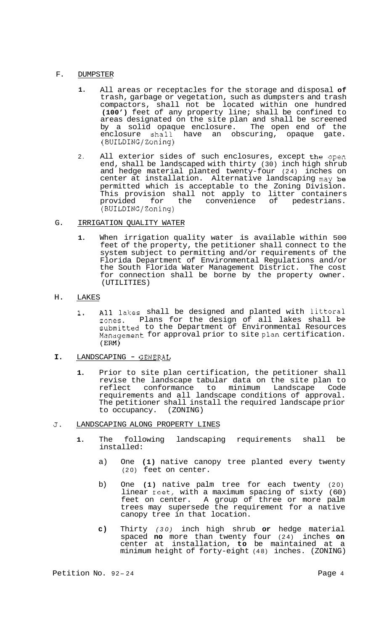# F. DUMPSTER

- **1.** All areas or receptacles for the storage and disposal **of**  trash, garbage or vegetation, such as dumpsters and trash compactors, shall not be located within one hundred **(100')** feet of any property line; shall be confined to areas designated on the site plan and shall be screened by a solid opaque enclosure. The open end of the enclosure shall have an obscuring, opaque gate. have an obscuring, (BUILDING/Zoning)
- 2. All exterior sides of such enclosures, except the open end, shall be landscaped with thirty (30) inch high shrub and hedge material planted twenty-four (24) inches on center at installation. Alternative landscaping may be permitted which is acceptable to the Zoning Division. This provision shall not apply to litter containers provided for the convenience of pedestrians. (BUILDING/Zoning)
- G. IRRIGATION QUALITY WATER
	- **1.** When irrigation quality water is available within 500 feet of the property, the petitioner shall connect to the system subject to permitting and/or requirements of the Florida Department of Environmental Regulations and/or the South Florida Water Management District. The cost for connection shall be borne by the property owner. (UTILITIES)
- H. LAKES
	- 1. All lakes shall be designed and planted with littoral zones. Plans for the design of all lakes shall be submitted to the Department of Environmental Resources Management for approval prior to site plan certification. (Ern)
- **I.** LANDSCAPING GENERAL
	- **1.** Prior to site plan certification, the petitioner shall revise the landscape tabular data on the site plan to conformance to minimum requirements and all landscape conditions of approval. The petitioner shall install the required landscape prior<br>to occupancy. (ZONING) to occupancy.
- **J.** LANDSCAPING ALONG PROPERTY LINES
	- **1.** The following landscaping requirements shall be installed:
		- a) One **(1)** native canopy tree planted every twenty (20) feet on center.
		- b) One **(1)** native palm tree for each twenty (20) linear keet, with a maximum spacing of sixty (60) feet on center. A group of three or more palm trees may supersede the requirement for a native canopy tree in that location.
		- **c)** Thirty *(30)* inch high shrub **or** hedge material spaced **no** more than twenty four (24) inches **on**  center at installation, **to** be maintained at a minimum height of forty-eight (48) inches. (ZONING)